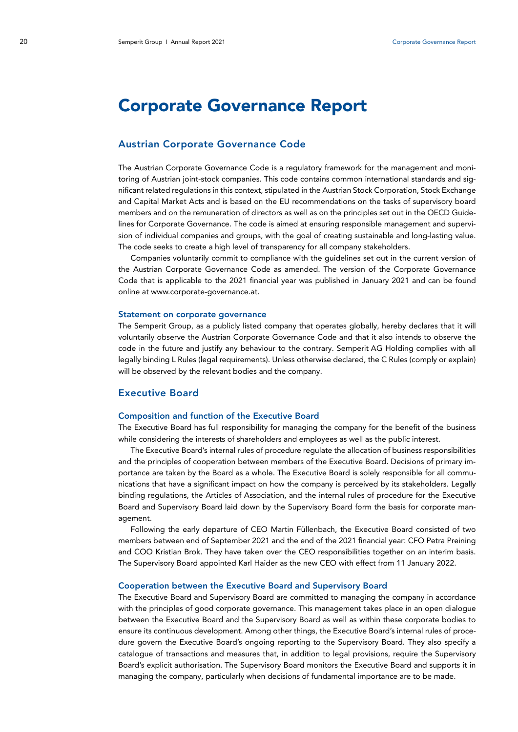# Corporate Governance Report

## Austrian Corporate Governance Code

The Austrian Corporate Governance Code is a regulatory framework for the management and monitoring of Austrian joint-stock companies. This code contains common international standards and significant related regulations in this context, stipulated in the Austrian Stock Corporation, Stock Exchange and Capital Market Acts and is based on the EU recommendations on the tasks of supervisory board members and on the remuneration of directors as well as on the principles set out in the OECD Guidelines for Corporate Governance. The code is aimed at ensuring responsible management and supervision of individual companies and groups, with the goal of creating sustainable and long-lasting value. The code seeks to create a high level of transparency for all company stakeholders.

Companies voluntarily commit to compliance with the guidelines set out in the current version of the Austrian Corporate Governance Code as amended. The version of the Corporate Governance Code that is applicable to the 2021 financial year was published in January 2021 and can be found online at www.corporate-governance.at.

#### Statement on corporate governance

The Semperit Group, as a publicly listed company that operates globally, hereby declares that it will voluntarily observe the Austrian Corporate Governance Code and that it also intends to observe the code in the future and justify any behaviour to the contrary. Semperit AG Holding complies with all legally binding L Rules (legal requirements). Unless otherwise declared, the C Rules (comply or explain) will be observed by the relevant bodies and the company.

## Executive Board

#### Composition and function of the Executive Board

The Executive Board has full responsibility for managing the company for the benefit of the business while considering the interests of shareholders and employees as well as the public interest.

The Executive Board's internal rules of procedure regulate the allocation of business responsibilities and the principles of cooperation between members of the Executive Board. Decisions of primary importance are taken by the Board as a whole. The Executive Board is solely responsible for all communications that have a significant impact on how the company is perceived by its stakeholders. Legally binding regulations, the Articles of Association, and the internal rules of procedure for the Executive Board and Supervisory Board laid down by the Supervisory Board form the basis for corporate management.

Following the early departure of CEO Martin Füllenbach, the Executive Board consisted of two members between end of September 2021 and the end of the 2021 financial year: CFO Petra Preining and COO Kristian Brok. They have taken over the CEO responsibilities together on an interim basis. The Supervisory Board appointed Karl Haider as the new CEO with effect from 11 January 2022.

#### Cooperation between the Executive Board and Supervisory Board

The Executive Board and Supervisory Board are committed to managing the company in accordance with the principles of good corporate governance. This management takes place in an open dialogue between the Executive Board and the Supervisory Board as well as within these corporate bodies to ensure its continuous development. Among other things, the Executive Board's internal rules of procedure govern the Executive Board's ongoing reporting to the Supervisory Board. They also specify a catalogue of transactions and measures that, in addition to legal provisions, require the Supervisory Board's explicit authorisation. The Supervisory Board monitors the Executive Board and supports it in managing the company, particularly when decisions of fundamental importance are to be made.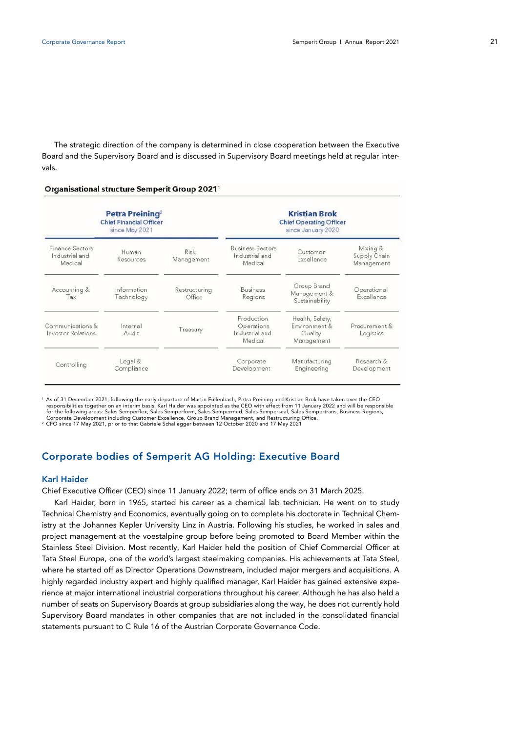The strategic direction of the company is determined in close cooperation between the Executive Board and the Supervisory Board and is discussed in Supervisory Board meetings held at regular intervals.

#### Organisational structure Semperit Group 2021

|                                               | Petra Preining <sup>2</sup><br><b>Chief Financial Officer</b><br>since May 2021 |                           | <b>Kristian Brok</b><br><b>Chief Operating Officer</b><br>since January 2020 |                                                           |                                        |
|-----------------------------------------------|---------------------------------------------------------------------------------|---------------------------|------------------------------------------------------------------------------|-----------------------------------------------------------|----------------------------------------|
| Finance Sectors<br>Industrial and<br>Medical  | Human<br>Resources                                                              | <b>Risk</b><br>Management | <b>Business Sectors</b><br>Industrial and<br>Medical                         | Customer<br>Excellence                                    | Mixing &<br>Supply Chain<br>Management |
| Accounting &<br>Tax                           | Information<br>Technology                                                       | Restructuring<br>Office   | <b>Business</b><br>Regions                                                   | Group Brand<br>Management &<br>Sustainability             | Operational<br>Excellence              |
| Communications &<br><b>Investor Relations</b> | Internal<br>Audit                                                               | Treasury                  | Production<br>Operations<br>Industrial and<br>Medical                        | Health, Safety,<br>Environment &<br>Quality<br>Management | Procurement &<br>Logistics             |
| Controlling                                   | Legal &<br>Compliance                                                           |                           | Corporate<br>Development                                                     | Manufacturing<br>Engineering                              | Research &<br>Development              |

1 As of 31 December 2021; following the early departure of Martin Füllenbach, Petra Preining and Kristian Brok have taken over the CEO<br>responsibilities together on an interim basis. Karl Haider was appointed as the CEO wit for the following areas: Sales Semperflex, Sales Semperform, Sales Sempermed, Sales Semperseal, Sales Sempertrans, Business Regions,<br>Corporate Development including Customer Excellence, Group Brand Management, and Restruct

<sup>2</sup> CFO since 17 May 2021, prior to that Gabriele Schallegger between 12 October 2020 and 17 May 2021

# Corporate bodies of Semperit AG Holding: Executive Board

#### Karl Haider

Chief Executive Officer (CEO) since 11 January 2022; term of office ends on 31 March 2025.

Karl Haider, born in 1965, started his career as a chemical lab technician. He went on to study Technical Chemistry and Economics, eventually going on to complete his doctorate in Technical Chemistry at the Johannes Kepler University Linz in Austria. Following his studies, he worked in sales and project management at the voestalpine group before being promoted to Board Member within the Stainless Steel Division. Most recently, Karl Haider held the position of Chief Commercial Officer at Tata Steel Europe, one of the world's largest steelmaking companies. His achievements at Tata Steel, where he started off as Director Operations Downstream, included major mergers and acquisitions. A highly regarded industry expert and highly qualified manager, Karl Haider has gained extensive experience at major international industrial corporations throughout his career. Although he has also held a number of seats on Supervisory Boards at group subsidiaries along the way, he does not currently hold Supervisory Board mandates in other companies that are not included in the consolidated financial statements pursuant to C Rule 16 of the Austrian Corporate Governance Code.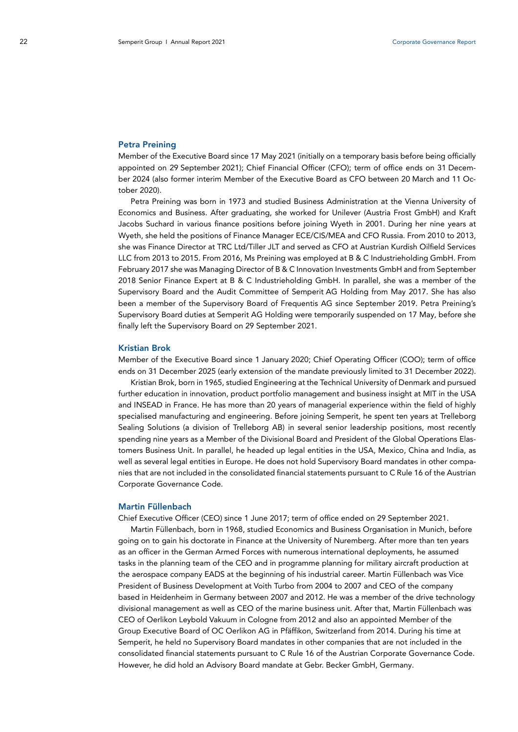#### Petra Preining

Member of the Executive Board since 17 May 2021 (initially on a temporary basis before being officially appointed on 29 September 2021); Chief Financial Officer (CFO); term of office ends on 31 December 2024 (also former interim Member of the Executive Board as CFO between 20 March and 11 October 2020).

Petra Preining was born in 1973 and studied Business Administration at the Vienna University of Economics and Business. After graduating, she worked for Unilever (Austria Frost GmbH) and Kraft Jacobs Suchard in various finance positions before joining Wyeth in 2001. During her nine years at Wyeth, she held the positions of Finance Manager ECE/CIS/MEA and CFO Russia. From 2010 to 2013, she was Finance Director at TRC Ltd/Tiller JLT and served as CFO at Austrian Kurdish Oilfield Services LLC from 2013 to 2015. From 2016, Ms Preining was employed at B & C Industrieholding GmbH. From February 2017 she was Managing Director of B & C Innovation Investments GmbH and from September 2018 Senior Finance Expert at B & C Industrieholding GmbH. In parallel, she was a member of the Supervisory Board and the Audit Committee of Semperit AG Holding from May 2017. She has also been a member of the Supervisory Board of Frequentis AG since September 2019. Petra Preining's Supervisory Board duties at Semperit AG Holding were temporarily suspended on 17 May, before she finally left the Supervisory Board on 29 September 2021.

#### Kristian Brok

Member of the Executive Board since 1 January 2020; Chief Operating Officer (COO); term of office ends on 31 December 2025 (early extension of the mandate previously limited to 31 December 2022).

Kristian Brok, born in 1965, studied Engineering at the Technical University of Denmark and pursued further education in innovation, product portfolio management and business insight at MIT in the USA and INSEAD in France. He has more than 20 years of managerial experience within the field of highly specialised manufacturing and engineering. Before joining Semperit, he spent ten years at Trelleborg Sealing Solutions (a division of Trelleborg AB) in several senior leadership positions, most recently spending nine years as a Member of the Divisional Board and President of the Global Operations Elastomers Business Unit. In parallel, he headed up legal entities in the USA, Mexico, China and India, as well as several legal entities in Europe. He does not hold Supervisory Board mandates in other companies that are not included in the consolidated financial statements pursuant to C Rule 16 of the Austrian Corporate Governance Code.

#### Martin Füllenbach

Chief Executive Officer (CEO) since 1 June 2017; term of office ended on 29 September 2021.

Martin Füllenbach, born in 1968, studied Economics and Business Organisation in Munich, before going on to gain his doctorate in Finance at the University of Nuremberg. After more than ten years as an officer in the German Armed Forces with numerous international deployments, he assumed tasks in the planning team of the CEO and in programme planning for military aircraft production at the aerospace company EADS at the beginning of his industrial career. Martin Füllenbach was Vice President of Business Development at Voith Turbo from 2004 to 2007 and CEO of the company based in Heidenheim in Germany between 2007 and 2012. He was a member of the drive technology divisional management as well as CEO of the marine business unit. After that, Martin Füllenbach was CEO of Oerlikon Leybold Vakuum in Cologne from 2012 and also an appointed Member of the Group Executive Board of OC Oerlikon AG in Pfäffikon, Switzerland from 2014. During his time at Semperit, he held no Supervisory Board mandates in other companies that are not included in the consolidated financial statements pursuant to C Rule 16 of the Austrian Corporate Governance Code. However, he did hold an Advisory Board mandate at Gebr. Becker GmbH, Germany.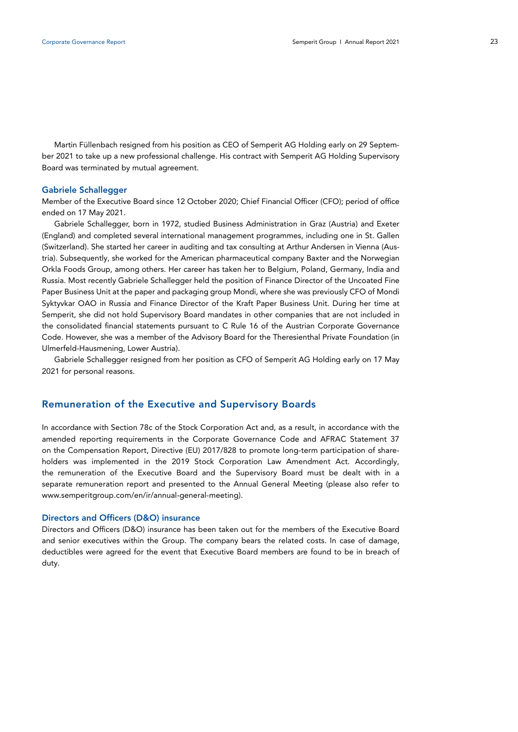Martin Füllenbach resigned from his position as CEO of Semperit AG Holding early on 29 September 2021 to take up a new professional challenge. His contract with Semperit AG Holding Supervisory Board was terminated by mutual agreement.

#### Gabriele Schallegger

Member of the Executive Board since 12 October 2020; Chief Financial Officer (CFO); period of office ended on 17 May 2021.

Gabriele Schallegger, born in 1972, studied Business Administration in Graz (Austria) and Exeter (England) and completed several international management programmes, including one in St. Gallen (Switzerland). She started her career in auditing and tax consulting at Arthur Andersen in Vienna (Austria). Subsequently, she worked for the American pharmaceutical company Baxter and the Norwegian Orkla Foods Group, among others. Her career has taken her to Belgium, Poland, Germany, India and Russia. Most recently Gabriele Schallegger held the position of Finance Director of the Uncoated Fine Paper Business Unit at the paper and packaging group Mondi, where she was previously CFO of Mondi Syktyvkar OAO in Russia and Finance Director of the Kraft Paper Business Unit. During her time at Semperit, she did not hold Supervisory Board mandates in other companies that are not included in the consolidated financial statements pursuant to C Rule 16 of the Austrian Corporate Governance Code. However, she was a member of the Advisory Board for the Theresienthal Private Foundation (in Ulmerfeld-Hausmening, Lower Austria).

Gabriele Schallegger resigned from her position as CFO of Semperit AG Holding early on 17 May 2021 for personal reasons.

# Remuneration of the Executive and Supervisory Boards

In accordance with Section 78c of the Stock Corporation Act and, as a result, in accordance with the amended reporting requirements in the Corporate Governance Code and AFRAC Statement 37 on the Compensation Report, Directive (EU) 2017/828 to promote long-term participation of shareholders was implemented in the 2019 Stock Corporation Law Amendment Act. Accordingly, the remuneration of the Executive Board and the Supervisory Board must be dealt with in a separate remuneration report and presented to the Annual General Meeting (please also refer to www.semperitgroup.com/en/ir/annual-general-meeting).

#### Directors and Officers (D&O) insurance

Directors and Officers (D&O) insurance has been taken out for the members of the Executive Board and senior executives within the Group. The company bears the related costs. In case of damage, deductibles were agreed for the event that Executive Board members are found to be in breach of duty.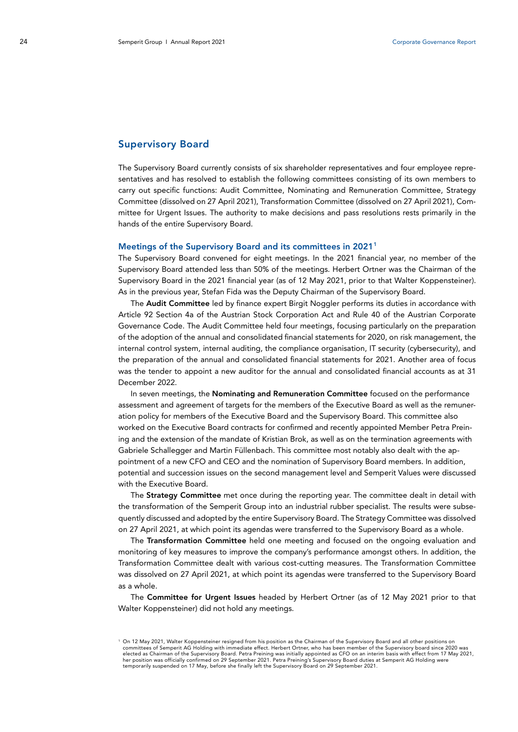## Supervisory Board

The Supervisory Board currently consists of six shareholder representatives and four employee representatives and has resolved to establish the following committees consisting of its own members to carry out specific functions: Audit Committee, Nominating and Remuneration Committee, Strategy Committee (dissolved on 27 April 2021), Transformation Committee (dissolved on 27 April 2021), Committee for Urgent Issues. The authority to make decisions and pass resolutions rests primarily in the hands of the entire Supervisory Board.

#### Meetings of the Supervisory Board and its committees in 2021[1](#page-4-0)

The Supervisory Board convened for eight meetings. In the 2021 financial year, no member of the Supervisory Board attended less than 50% of the meetings. Herbert Ortner was the Chairman of the Supervisory Board in the 2021 financial year (as of 12 May 2021, prior to that Walter Koppensteiner). As in the previous year, Stefan Fida was the Deputy Chairman of the Supervisory Board.

The Audit Committee led by finance expert Birgit Noggler performs its duties in accordance with Article 92 Section 4a of the Austrian Stock Corporation Act and Rule 40 of the Austrian Corporate Governance Code. The Audit Committee held four meetings, focusing particularly on the preparation of the adoption of the annual and consolidated financial statements for 2020, on risk management, the internal control system, internal auditing, the compliance organisation, IT security (cybersecurity), and the preparation of the annual and consolidated financial statements for 2021. Another area of focus was the tender to appoint a new auditor for the annual and consolidated financial accounts as at 31 December 2022.

In seven meetings, the Nominating and Remuneration Committee focused on the performance assessment and agreement of targets for the members of the Executive Board as well as the remuneration policy for members of the Executive Board and the Supervisory Board. This committee also worked on the Executive Board contracts for confirmed and recently appointed Member Petra Preining and the extension of the mandate of Kristian Brok, as well as on the termination agreements with Gabriele Schallegger and Martin Füllenbach. This committee most notably also dealt with the appointment of a new CFO and CEO and the nomination of Supervisory Board members. In addition, potential and succession issues on the second management level and Semperit Values were discussed with the Executive Board.

The Strategy Committee met once during the reporting year. The committee dealt in detail with the transformation of the Semperit Group into an industrial rubber specialist. The results were subsequently discussed and adopted by the entire Supervisory Board. The Strategy Committee was dissolved on 27 April 2021, at which point its agendas were transferred to the Supervisory Board as a whole.

The Transformation Committee held one meeting and focused on the ongoing evaluation and monitoring of key measures to improve the company's performance amongst others. In addition, the Transformation Committee dealt with various cost-cutting measures. The Transformation Committee was dissolved on 27 April 2021, at which point its agendas were transferred to the Supervisory Board as a whole.

The Committee for Urgent Issues headed by Herbert Ortner (as of 12 May 2021 prior to that Walter Koppensteiner) did not hold any meetings.

<span id="page-4-0"></span><sup>1</sup> On 12 May 2021, Walter Koppensteiner resigned from his position as the Chairman of the Supervisory Board and all other positions on committees of Semperit AG Holding with immediate effect. Herbert Ortner, who has been member of the Supervisory board since 2020 was elected as Chairman of the Supervisory Board. Petra Preining was initially appointed as CFO on an interim basis with effect from 17 May 2021,<br>her position was officially confirmed on 29 September 2021. Petra Preining's Sup temporarily suspended on 17 May, before she finally left the Supervisory Board on 29 September 2021.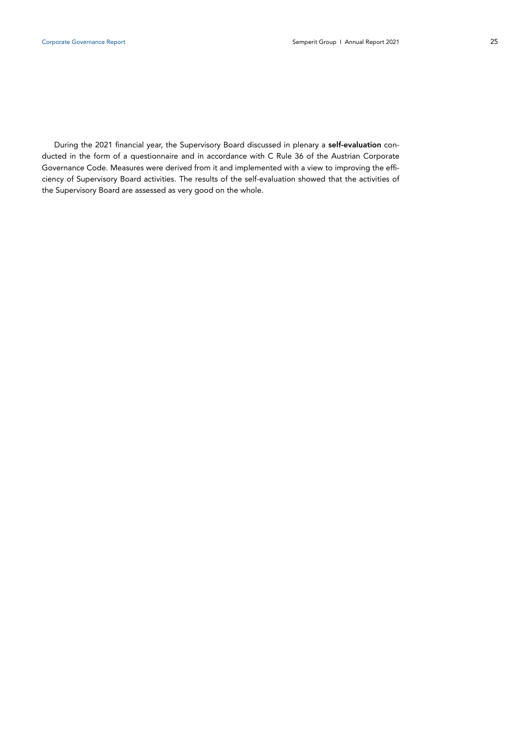During the 2021 financial year, the Supervisory Board discussed in plenary a self-evaluation conducted in the form of a questionnaire and in accordance with C Rule 36 of the Austrian Corporate Governance Code. Measures were derived from it and implemented with a view to improving the efficiency of Supervisory Board activities. The results of the self-evaluation showed that the activities of the Supervisory Board are assessed as very good on the whole.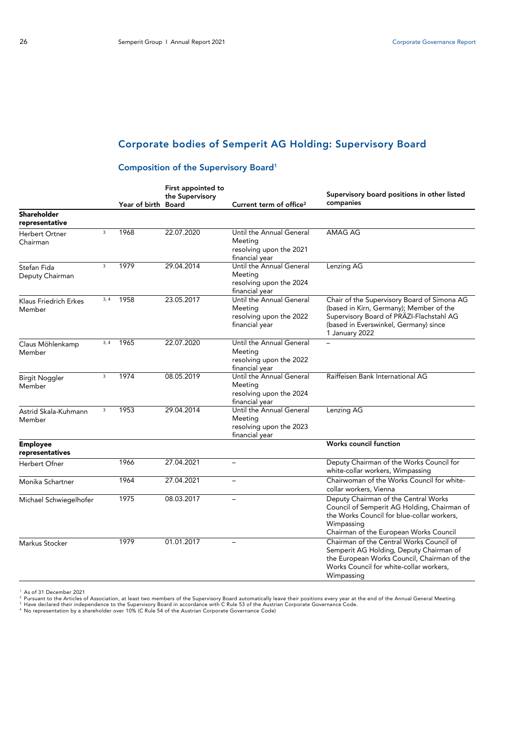# Corporate bodies of Semperit AG Holding: Supervisory Board

# Composition of the Supervisory Board1

|                                    |      | Year of birth Board | First appointed to<br>the Supervisory | Current term of office <sup>2</sup>                                              | Supervisory board positions in other listed<br>companies                                                                                                                                      |
|------------------------------------|------|---------------------|---------------------------------------|----------------------------------------------------------------------------------|-----------------------------------------------------------------------------------------------------------------------------------------------------------------------------------------------|
| Shareholder<br>representative      |      |                     |                                       |                                                                                  |                                                                                                                                                                                               |
| Herbert Ortner<br>Chairman         | 3    | 1968                | 22.07.2020                            | Until the Annual General<br>Meeting<br>resolving upon the 2021<br>financial year | AMAG AG                                                                                                                                                                                       |
| Stefan Fida<br>Deputy Chairman     | 3    | 1979                | 29.04.2014                            | Until the Annual General<br>Meeting<br>resolving upon the 2024<br>financial year | Lenzing AG                                                                                                                                                                                    |
| Klaus Friedrich Erkes<br>Member    | 3, 4 | 1958                | 23.05.2017                            | Until the Annual General<br>Meeting<br>resolving upon the 2022<br>financial year | Chair of the Supervisory Board of Simona AG<br>(based in Kirn, Germany); Member of the<br>Supervisory Board of PRÄZI-Flachstahl AG<br>(based in Everswinkel, Germany) since<br>1 January 2022 |
| Claus Möhlenkamp<br>Member         | 3, 4 | 1965                | 22.07.2020                            | Until the Annual General<br>Meeting<br>resolving upon the 2022<br>financial year |                                                                                                                                                                                               |
| <b>Birgit Noggler</b><br>Member    | 3    | 1974                | 08.05.2019                            | Until the Annual General<br>Meeting<br>resolving upon the 2024<br>financial year | Raiffeisen Bank International AG                                                                                                                                                              |
| Astrid Skala-Kuhmann<br>Member     | 3    | 1953                | 29.04.2014                            | Until the Annual General<br>Meeting<br>resolving upon the 2023<br>financial year | Lenzing AG                                                                                                                                                                                    |
| <b>Employee</b><br>representatives |      |                     |                                       |                                                                                  | Works council function                                                                                                                                                                        |
| Herbert Ofner                      |      | 1966                | 27.04.2021                            | $\overline{\phantom{m}}$                                                         | Deputy Chairman of the Works Council for<br>white-collar workers, Wimpassing                                                                                                                  |
| Monika Schartner                   |      | 1964                | 27.04.2021                            |                                                                                  | Chairwoman of the Works Council for white-<br>collar workers, Vienna                                                                                                                          |
| Michael Schwiegelhofer             |      | 1975                | 08.03.2017                            | $\overline{\phantom{0}}$                                                         | Deputy Chairman of the Central Works<br>Council of Semperit AG Holding, Chairman of<br>the Works Council for blue-collar workers,<br>Wimpassing<br>Chairman of the European Works Council     |
| Markus Stocker                     |      | 1979                | 01.01.2017                            | $\overline{a}$                                                                   | Chairman of the Central Works Council of<br>Semperit AG Holding, Deputy Chairman of<br>the European Works Council, Chairman of the<br>Works Council for white-collar workers,<br>Wimpassing   |

<sup>1</sup> As of 31 December 2021<br><sup>2</sup> Pursuant to the Articles of Association, at least two members of the Supervisory Board automatically leave their positions every year at the end of the Annual General Meeting.<br><sup>3</sup> Have declar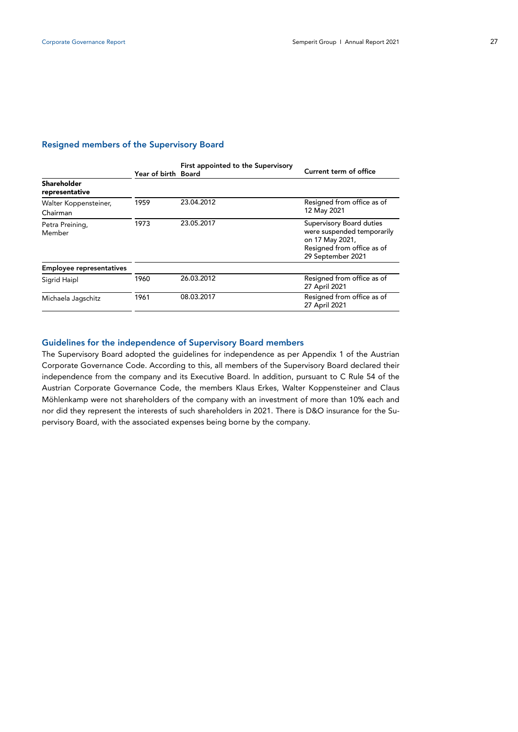## Resigned members of the Supervisory Board

|                                   | Year of birth Board | First appointed to the Supervisory | Current term of office                                                                                                       |
|-----------------------------------|---------------------|------------------------------------|------------------------------------------------------------------------------------------------------------------------------|
| Shareholder<br>representative     |                     |                                    |                                                                                                                              |
| Walter Koppensteiner,<br>Chairman | 1959                | 23.04.2012                         | Resigned from office as of<br>12 May 2021                                                                                    |
| Petra Preining,<br>Member         | 1973                | 23.05.2017                         | Supervisory Board duties<br>were suspended temporarily<br>on 17 May 2021,<br>Resigned from office as of<br>29 September 2021 |
| <b>Employee representatives</b>   |                     |                                    |                                                                                                                              |
| Sigrid Haipl                      | 1960                | 26.03.2012                         | Resigned from office as of<br>27 April 2021                                                                                  |
| Michaela Jagschitz                | 1961                | 08.03.2017                         | Resigned from office as of<br>27 April 2021                                                                                  |

## Guidelines for the independence of Supervisory Board members

The Supervisory Board adopted the guidelines for independence as per Appendix 1 of the Austrian Corporate Governance Code. According to this, all members of the Supervisory Board declared their independence from the company and its Executive Board. In addition, pursuant to C Rule 54 of the Austrian Corporate Governance Code, the members Klaus Erkes, Walter Koppensteiner and Claus Möhlenkamp were not shareholders of the company with an investment of more than 10% each and nor did they represent the interests of such shareholders in 2021. There is D&O insurance for the Supervisory Board, with the associated expenses being borne by the company.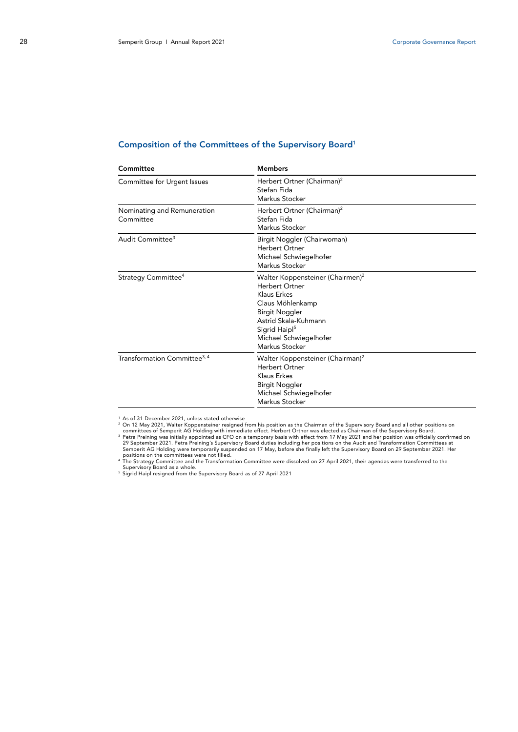## Composition of the Committees of the Supervisory Board1

| Committee                                | <b>Members</b>                                                                                                                                                                                                       |  |  |
|------------------------------------------|----------------------------------------------------------------------------------------------------------------------------------------------------------------------------------------------------------------------|--|--|
| Committee for Urgent Issues              | Herbert Ortner (Chairman) <sup>2</sup><br>Stefan Fida<br>Markus Stocker                                                                                                                                              |  |  |
| Nominating and Remuneration<br>Committee | Herbert Ortner (Chairman) <sup>2</sup><br>Stefan Fida<br>Markus Stocker                                                                                                                                              |  |  |
| Audit Committee <sup>3</sup>             | Birgit Noggler (Chairwoman)<br>Herbert Ortner<br>Michael Schwiegelhofer<br>Markus Stocker                                                                                                                            |  |  |
| Strategy Committee <sup>4</sup>          | Walter Koppensteiner (Chairmen) <sup>2</sup><br>Herbert Ortner<br>Klaus Erkes<br>Claus Möhlenkamp<br>Birgit Noggler<br>Astrid Skala-Kuhmann<br>Sigrid Haipl <sup>5</sup><br>Michael Schwiegelhofer<br>Markus Stocker |  |  |
| Transformation Committee <sup>3, 4</sup> | Walter Koppensteiner (Chairman) <sup>2</sup><br><b>Herbert Ortner</b><br>Klaus Erkes<br><b>Birgit Noggler</b><br>Michael Schwiegelhofer<br>Markus Stocker                                                            |  |  |

<sup>1</sup> As of 31 December 2021, unless stated otherwise<br>
<sup>2</sup> As of 31 December 2021, unless stated otherwise<br>
<sup>2</sup> Con 12 May 2021 and the Supervisory Board and all other positions on<br>
2 Com 12 May 2021 and her positions of the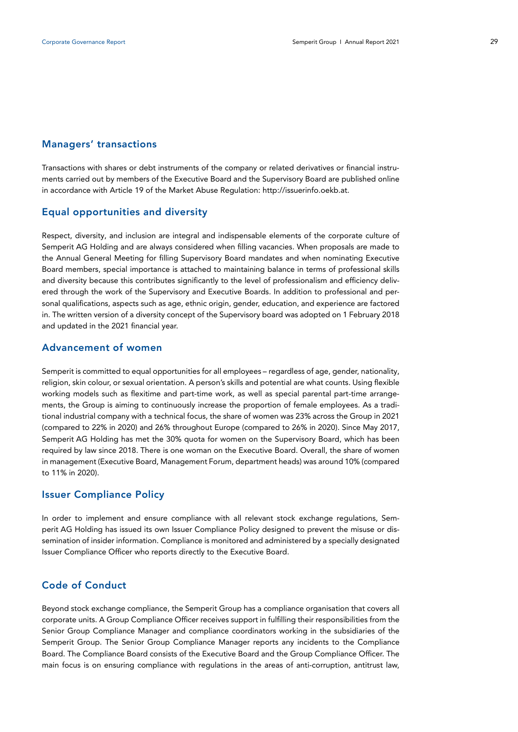## Managers' transactions

Transactions with shares or debt instruments of the company or related derivatives or financial instruments carried out by members of the Executive Board and the Supervisory Board are published online in accordance with Article 19 of the Market Abuse Regulation: http://issuerinfo.oekb.at.

# Equal opportunities and diversity

Respect, diversity, and inclusion are integral and indispensable elements of the corporate culture of Semperit AG Holding and are always considered when filling vacancies. When proposals are made to the Annual General Meeting for filling Supervisory Board mandates and when nominating Executive Board members, special importance is attached to maintaining balance in terms of professional skills and diversity because this contributes significantly to the level of professionalism and efficiency delivered through the work of the Supervisory and Executive Boards. In addition to professional and personal qualifications, aspects such as age, ethnic origin, gender, education, and experience are factored in. The written version of a diversity concept of the Supervisory board was adopted on 1 February 2018 and updated in the 2021 financial year.

## Advancement of women

Semperit is committed to equal opportunities for all employees – regardless of age, gender, nationality, religion, skin colour, or sexual orientation. A person's skills and potential are what counts. Using flexible working models such as flexitime and part-time work, as well as special parental part-time arrangements, the Group is aiming to continuously increase the proportion of female employees. As a traditional industrial company with a technical focus, the share of women was 23% across the Group in 2021 (compared to 22% in 2020) and 26% throughout Europe (compared to 26% in 2020). Since May 2017, Semperit AG Holding has met the 30% quota for women on the Supervisory Board, which has been required by law since 2018. There is one woman on the Executive Board. Overall, the share of women in management (Executive Board, Management Forum, department heads) was around 10% (compared to 11% in 2020).

## Issuer Compliance Policy

In order to implement and ensure compliance with all relevant stock exchange regulations, Semperit AG Holding has issued its own Issuer Compliance Policy designed to prevent the misuse or dissemination of insider information. Compliance is monitored and administered by a specially designated Issuer Compliance Officer who reports directly to the Executive Board.

# Code of Conduct

Beyond stock exchange compliance, the Semperit Group has a compliance organisation that covers all corporate units. A Group Compliance Officer receives support in fulfilling their responsibilities from the Senior Group Compliance Manager and compliance coordinators working in the subsidiaries of the Semperit Group. The Senior Group Compliance Manager reports any incidents to the Compliance Board. The Compliance Board consists of the Executive Board and the Group Compliance Officer. The main focus is on ensuring compliance with regulations in the areas of anti-corruption, antitrust law,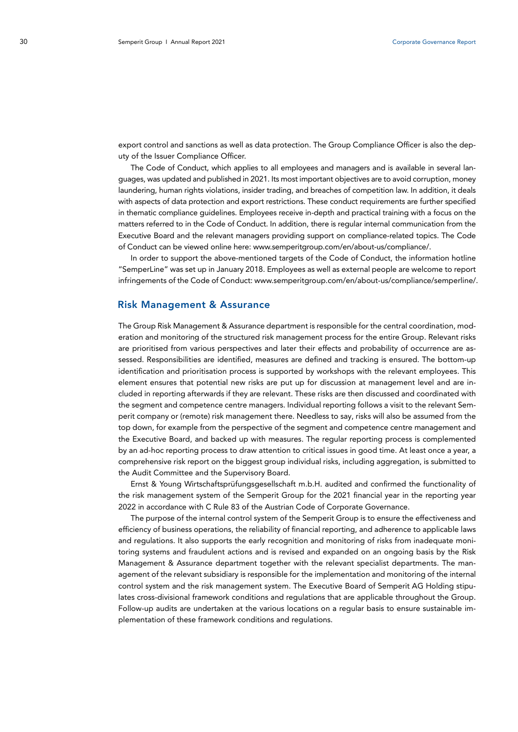export control and sanctions as well as data protection. The Group Compliance Officer is also the deputy of the Issuer Compliance Officer.

The Code of Conduct, which applies to all employees and managers and is available in several languages, was updated and published in 2021. Its most important objectives are to avoid corruption, money laundering, human rights violations, insider trading, and breaches of competition law. In addition, it deals with aspects of data protection and export restrictions. These conduct requirements are further specified in thematic compliance guidelines. Employees receive in-depth and practical training with a focus on the matters referred to in the Code of Conduct. In addition, there is regular internal communication from the Executive Board and the relevant managers providing support on compliance-related topics. The Code of Conduct can be viewed online here: www.semperitgroup.com/en/about-us/compliance/.

In order to support the above-mentioned targets of the Code of Conduct, the information hotline "SemperLine" was set up in January 2018. Employees as well as external people are welcome to report infringements of the Code of Conduct: www.semperitgroup.com/en/about-us/compliance/semperline/.

## Risk Management & Assurance

The Group Risk Management & Assurance department is responsible for the central coordination, moderation and monitoring of the structured risk management process for the entire Group. Relevant risks are prioritised from various perspectives and later their effects and probability of occurrence are assessed. Responsibilities are identified, measures are defined and tracking is ensured. The bottom-up identification and prioritisation process is supported by workshops with the relevant employees. This element ensures that potential new risks are put up for discussion at management level and are included in reporting afterwards if they are relevant. These risks are then discussed and coordinated with the segment and competence centre managers. Individual reporting follows a visit to the relevant Semperit company or (remote) risk management there. Needless to say, risks will also be assumed from the top down, for example from the perspective of the segment and competence centre management and the Executive Board, and backed up with measures. The regular reporting process is complemented by an ad-hoc reporting process to draw attention to critical issues in good time. At least once a year, a comprehensive risk report on the biggest group individual risks, including aggregation, is submitted to the Audit Committee and the Supervisory Board.

Ernst & Young Wirtschaftsprüfungsgesellschaft m.b.H. audited and confirmed the functionality of the risk management system of the Semperit Group for the 2021 financial year in the reporting year 2022 in accordance with C Rule 83 of the Austrian Code of Corporate Governance.

The purpose of the internal control system of the Semperit Group is to ensure the effectiveness and efficiency of business operations, the reliability of financial reporting, and adherence to applicable laws and regulations. It also supports the early recognition and monitoring of risks from inadequate monitoring systems and fraudulent actions and is revised and expanded on an ongoing basis by the Risk Management & Assurance department together with the relevant specialist departments. The management of the relevant subsidiary is responsible for the implementation and monitoring of the internal control system and the risk management system. The Executive Board of Semperit AG Holding stipulates cross-divisional framework conditions and regulations that are applicable throughout the Group. Follow-up audits are undertaken at the various locations on a regular basis to ensure sustainable implementation of these framework conditions and regulations.